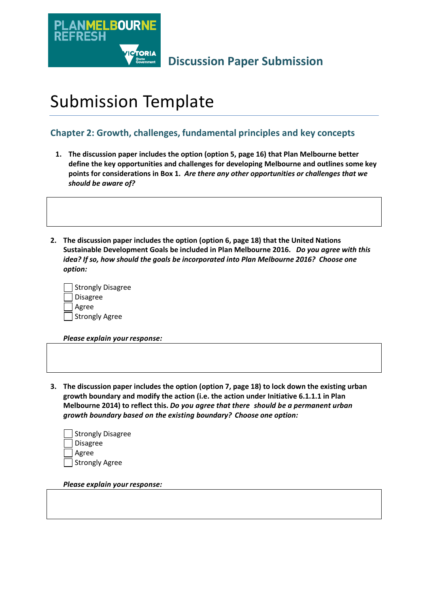

# Submission Template

# **Chapter 2: Growth, challenges, fundamental principles and key concepts**

**1. The discussion paper includes the option (option 5, page 16) that Plan Melbourne better define the key opportunities and challenges for developing Melbourne and outlines some key points for considerations in Box 1.** *Are there any other opportunities or challenges that we should be aware of?*

| 2. The discussion paper includes the option (option 6, page 18) that the United Nations<br>Sustainable Development Goals be included in Plan Melbourne 2016. Do you agree with this<br>idea? If so, how should the goals be incorporated into Plan Melbourne 2016? Choose one<br>option: |
|------------------------------------------------------------------------------------------------------------------------------------------------------------------------------------------------------------------------------------------------------------------------------------------|

| Strongly Disagree |
|-------------------|
| Disagree          |
| Agree             |
| Strongly Agree    |

*Please explain your response:*

**3. The discussion paper includes the option (option 7, page 18) to lock down the existing urban growth boundary and modify the action (i.e. the action under Initiative 6.1.1.1 in Plan Melbourne 2014) to reflect this.** *Do you agree that there should be a permanent urban growth boundary based on the existing boundary? Choose one option:*

| Strongly Disagree |
|-------------------|
| Disagree          |
| Agree             |
| Strongly Agree    |

*Please explain your response:*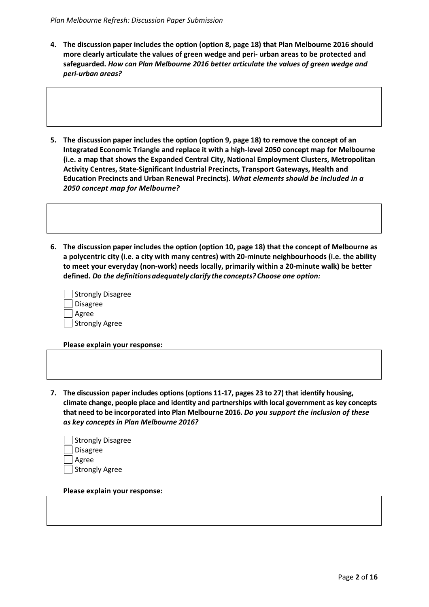- **4. The discussion paper includes the option (option 8, page 18) that Plan Melbourne 2016 should more clearly articulate the values of green wedge and peri- urban areas to be protected and safeguarded.** *How can Plan Melbourne 2016 better articulate the values of green wedge and peri-urban areas?*
- **5. The discussion paper includes the option (option 9, page 18) to remove the concept of an Integrated Economic Triangle and replace it with a high-level 2050 concept map for Melbourne (i.e. a map that shows the Expanded Central City, National Employment Clusters, Metropolitan Activity Centres, State-Significant Industrial Precincts, Transport Gateways, Health and Education Precincts and Urban Renewal Precincts).** *What elements should be included in a 2050 concept map for Melbourne?*
- **6. The discussion paper includes the option (option 10, page 18) that the concept of Melbourne as a polycentric city (i.e. a city with many centres) with 20-minute neighbourhoods (i.e. the ability to meet your everyday (non-work) needs locally, primarily within a 20-minute walk) be better defined.** *Do the definitionsadequately clarify theconcepts? Choose one option:*

| Strongly Disagree |
|-------------------|
| Disagree          |
| Agree             |
| Strongly Agree    |

#### **Please explain your response:**

**7. The discussion paper includes options (options 11-17, pages 23 to 27) that identify housing, climate change, people place and identity and partnerships with local government as key concepts that need to be incorporated into Plan Melbourne 2016.** *Do you support the inclusion of these as key concepts in Plan Melbourne 2016?*

| Strongly Disagree |
|-------------------|
| <b>Disagree</b>   |
| Agree             |
| Strongly Agree    |

**Please explain your response:**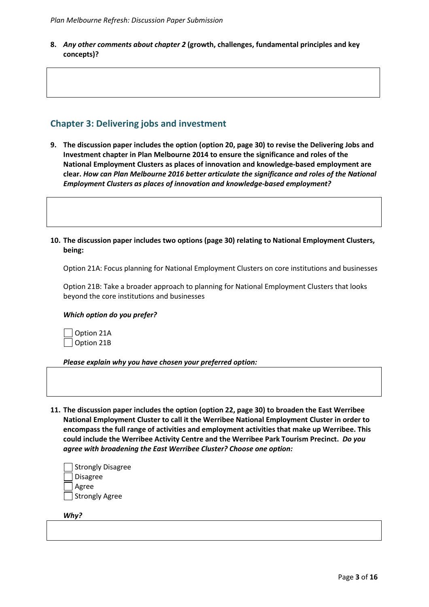**8.** *Any other comments about chapter 2* **(growth, challenges, fundamental principles and key concepts)?**

## **Chapter 3: Delivering jobs and investment**

**9. The discussion paper includes the option (option 20, page 30) to revise the Delivering Jobs and Investment chapter in Plan Melbourne 2014 to ensure the significance and roles of the National Employment Clusters as places of innovation and knowledge-based employment are clear.** *How can Plan Melbourne 2016 better articulate the significance and roles of the National Employment Clusters as places of innovation and knowledge-based employment?*

**10. The discussion paper includes two options (page 30) relating to National Employment Clusters, being:**

Option 21A: Focus planning for National Employment Clusters on core institutions and businesses

Option 21B: Take a broader approach to planning for National Employment Clusters that looks beyond the core institutions and businesses

#### *Which option do you prefer?*

Option 21A Option 21B

*Please explain why you have chosen your preferred option:*

**11. The discussion paper includes the option (option 22, page 30) to broaden the East Werribee National Employment Cluster to call it the Werribee National Employment Cluster in order to encompass the full range of activities and employment activities that make up Werribee. This could include the Werribee Activity Centre and the Werribee Park Tourism Precinct.** *Do you agree with broadening the East Werribee Cluster? Choose one option:*

| Strongly Disagree |
|-------------------|
| Disagree          |
| Agree             |
| Strongly Agree    |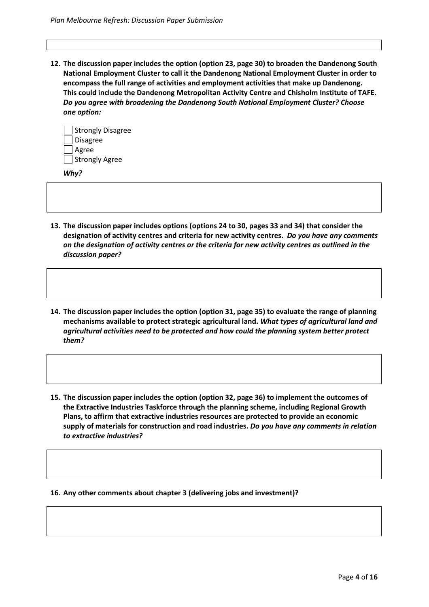**12. The discussion paper includes the option (option 23, page 30) to broaden the Dandenong South National Employment Cluster to call it the Dandenong National Employment Cluster in order to encompass the full range of activities and employment activities that make up Dandenong. This could include the Dandenong Metropolitan Activity Centre and Chisholm Institute of TAFE.** *Do you agree with broadening the Dandenong South National Employment Cluster? Choose one option:*

| Strongly Disagree |
|-------------------|
| <b>Disagree</b>   |
| Agree             |
| Strongly Agree    |

*Why?*

- **13. The discussion paper includes options (options 24 to 30, pages 33 and 34) that consider the designation of activity centres and criteria for new activity centres.** *Do you have any comments on the designation of activity centres or the criteria for new activity centres as outlined in the discussion paper?*
- **14. The discussion paper includes the option (option 31, page 35) to evaluate the range of planning mechanisms available to protect strategic agricultural land.** *What types of agricultural land and agricultural activities need to be protected and how could the planning system better protect them?*
- **15. The discussion paper includes the option (option 32, page 36) to implement the outcomes of the Extractive Industries Taskforce through the planning scheme, including Regional Growth Plans, to affirm that extractive industries resources are protected to provide an economic supply of materials for construction and road industries.** *Do you have any comments in relation to extractive industries?*

**16. Any other comments about chapter 3 (delivering jobs and investment)?**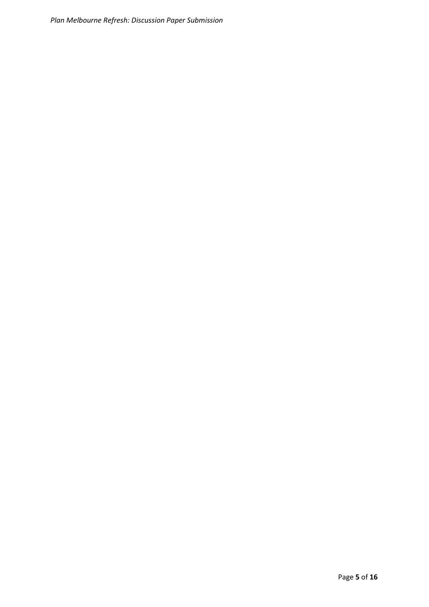*Plan Melbourne Refresh: Discussion Paper Submission*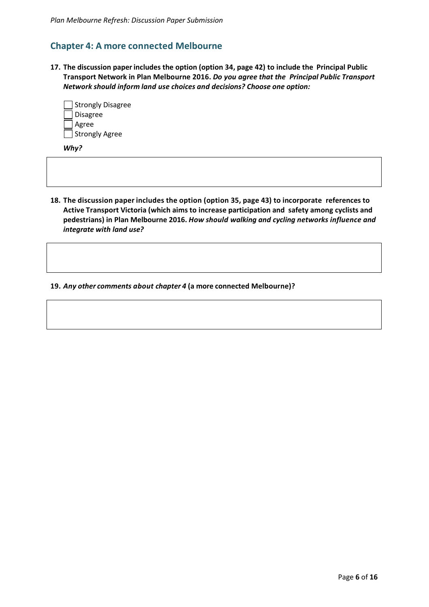# **Chapter 4: A more connected Melbourne**

**17. The discussion paperincludes the option (option 34, page 42) to include the Principal Public Transport Network in Plan Melbourne 2016.** *Do you agree that the Principal Public Transport Network should inform land use choices and decisions? Choose one option:*

| Strongly Disagree |
|-------------------|
| <b>Disagree</b>   |
| Agree             |
| Strongly Agree    |

*Why?*

**18. The discussion paper includes the option (option 35, page 43) to incorporate references to Active Transport Victoria (which aims to increase participation and safety among cyclists and pedestrians) in Plan Melbourne 2016.** *How should walking and cycling networks influence and integrate with land use?*

**19.** *Any other comments about chapter 4* **(a more connected Melbourne)?**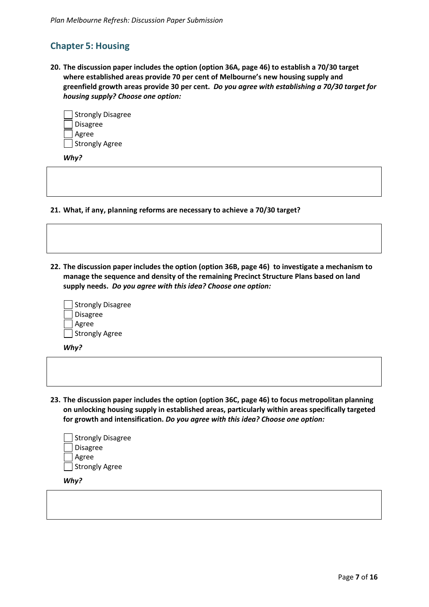# **Chapter 5: Housing**

**20. The discussion paper includes the option (option 36A, page 46) to establish a 70/30 target where established areas provide 70 per cent of Melbourne's new housing supply and greenfield growth areas provide 30 per cent.** *Do you agree with establishing a 70/30 target for housing supply? Choose one option:*

| Strongly Disagree     |
|-----------------------|
| <b>Disagree</b>       |
| Agree                 |
| <b>Strongly Agree</b> |

*Why?*

**21. What, if any, planning reforms are necessary to achieve a 70/30 target?**

**22. The discussion paper includes the option (option 36B, page 46) to investigate a mechanism to manage the sequence and density of the remaining Precinct Structure Plans based on land supply needs.** *Do you agree with this idea? Choose one option:*

| Strongly Disagree |
|-------------------|
| <b>Disagree</b>   |
| Agree             |
| Strongly Agree    |

*Why?*

**23. The discussion paper includes the option (option 36C, page 46) to focus metropolitan planning on unlocking housing supply in established areas, particularly within areas specifically targeted for growth and intensification.** *Do you agree with this idea? Choose one option:*

| Strongly Disagree |
|-------------------|
| Disagree          |
| Agree             |
| Strongly Agree    |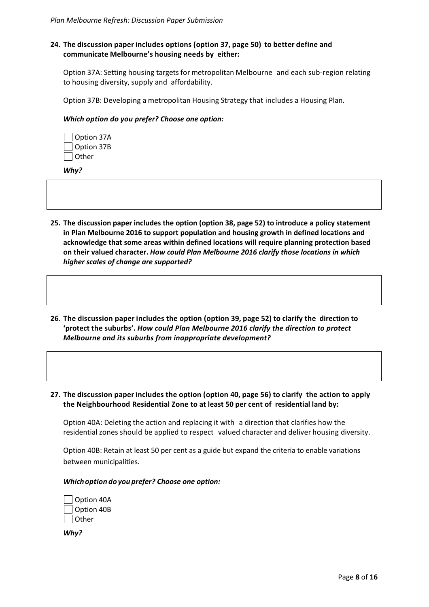## **24. The discussion paper includes options (option 37, page 50) to better define and communicate Melbourne's housing needs by either:**

Option 37A: Setting housing targets for metropolitan Melbourne and each sub-region relating to housing diversity, supply and affordability.

Option 37B: Developing a metropolitan Housing Strategy that includes a Housing Plan.

#### *Which option do you prefer? Choose one option:*

| Option 37A |
|------------|
| Option 37B |
| Other      |

*Why?*

- **25. The discussion paper includes the option (option 38, page 52) to introduce a policy statement in Plan Melbourne 2016 to support population and housing growth in defined locations and acknowledge that some areas within defined locations will require planning protection based on their valued character.** *How could Plan Melbourne 2016 clarify those locations in which higher scales of change are supported?*
- **26. The discussion paper includes the option (option 39, page 52) to clarify the direction to 'protect the suburbs'.** *How could Plan Melbourne 2016 clarify the direction to protect Melbourne and its suburbs from inappropriate development?*
- **27. The discussion paper includes the option (option 40, page 56) to clarify the action to apply the Neighbourhood Residential Zone to at least 50 per cent of residential land by:**

Option 40A: Deleting the action and replacing it with a direction that clarifies how the residential zones should be applied to respect valued character and deliver housing diversity.

Option 40B: Retain at least 50 per cent as a guide but expand the criteria to enable variations between municipalities.

#### *Whichoption do you prefer? Choose one option:*

| Option 40A |
|------------|
| Option 40B |
| Other      |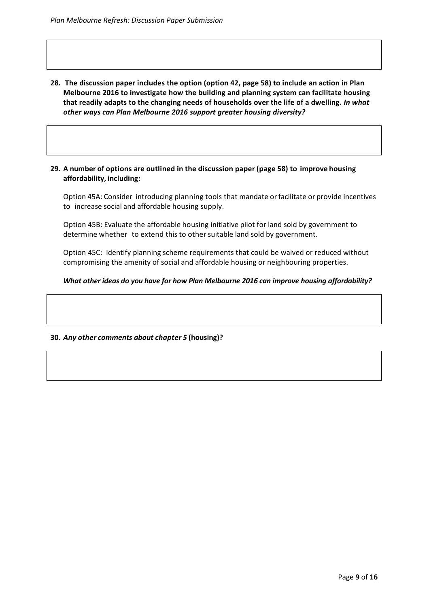**28. The discussion paper includes the option (option 42, page 58) to include an action in Plan Melbourne 2016 to investigate how the building and planning system can facilitate housing that readily adapts to the changing needs of households over the life of a dwelling.** *In what other ways can Plan Melbourne 2016 support greater housing diversity?*

### **29. A number of options are outlined in the discussion paper (page 58) to improve housing affordability, including:**

Option 45A: Consider introducing planning tools that mandate or facilitate or provide incentives to increase social and affordable housing supply.

Option 45B: Evaluate the affordable housing initiative pilot for land sold by government to determine whether to extend this to other suitable land sold by government.

Option 45C: Identify planning scheme requirements that could be waived or reduced without compromising the amenity of social and affordable housing or neighbouring properties.

## *What other ideas do you have for how Plan Melbourne 2016 can improve housing affordability?*

## **30.** *Any other comments about chapter 5* **(housing)?**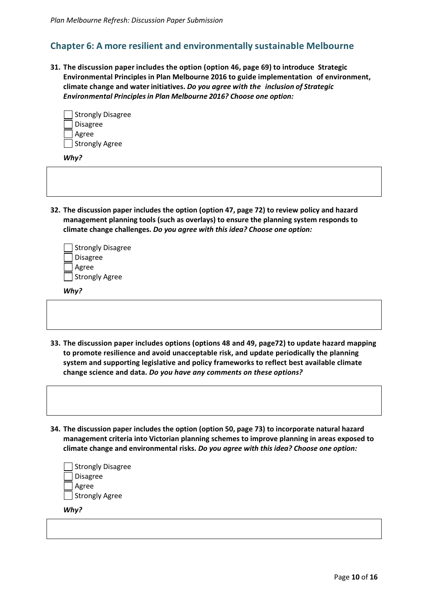# **Chapter 6: A more resilient and environmentally sustainable Melbourne**

**31. The discussion paper includes the option (option 46, page 69) to introduce Strategic Environmental Principles in Plan Melbourne 2016 to guide implementation of environment, climate change and waterinitiatives.** *Do you agree with the inclusion of Strategic Environmental Principlesin Plan Melbourne 2016? Choose one option:*

| Strongly Disagree |
|-------------------|
| <b>Disagree</b>   |
| Agree             |
| Strongly Agree    |

*Why?*

**32. The discussion paper includes the option (option 47, page 72) to review policy and hazard management planning tools (such as overlays) to ensure the planning system responds to climate change challenges.** *Do you agree with this idea? Choose one option:*

| Strongly Disagree |
|-------------------|
| Disagree          |
| Agree             |
| Strongly Agree    |

*Why?*

- **33. The discussion paper includes options (options 48 and 49, page72) to update hazard mapping to promote resilience and avoid unacceptable risk, and update periodically the planning system and supporting legislative and policy frameworks to reflect best available climate change science and data.** *Do you have any comments on these options?*
- **34. The discussion paper includes the option (option 50, page 73) to incorporate natural hazard management criteria into Victorian planning schemes to improve planning in areas exposed to climate change and environmental risks.** *Do you agree with this idea? Choose one option:*

| Strongly Disagree |
|-------------------|
| Disagree          |
| Agree             |
| Strongly Agree    |
|                   |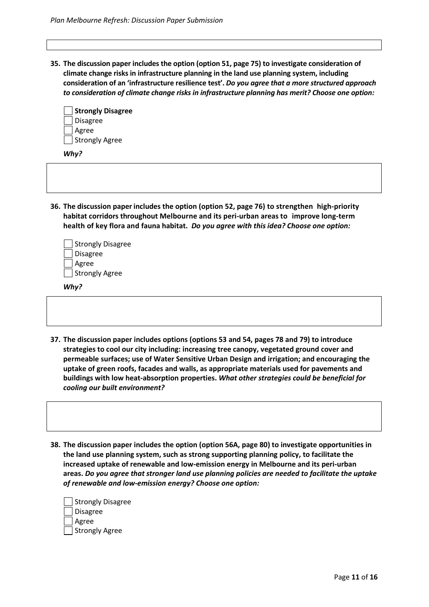**35. The discussion paper includes the option (option 51, page 75) to investigate consideration of climate change risks in infrastructure planning in the land use planning system, including consideration of an 'infrastructure resilience test'.** *Do you agree that a more structured approach to consideration of climate change risks in infrastructure planning has merit? Choose one option:*

| Strongly Disagree |
|-------------------|
| <b>Disagree</b>   |
| Agree             |
| Strongly Agree    |

*Why?*

**36. The discussion paperincludes the option (option 52, page 76) to strengthen high-priority habitat corridors throughout Melbourne and its peri-urban areas to improve long-term health of key flora and fauna habitat.** *Do you agree with this idea? Choose one option:*

| Strongly Disagree |
|-------------------|
| Disagree          |
| Agree             |
| Strongly Agree    |

- **37. The discussion paper includes options (options 53 and 54, pages 78 and 79) to introduce strategies to cool our city including: increasing tree canopy, vegetated ground cover and permeable surfaces; use of Water Sensitive Urban Design and irrigation; and encouraging the uptake of green roofs, facades and walls, as appropriate materials used for pavements and buildings with low heat-absorption properties.** *What other strategies could be beneficial for cooling our built environment?*
- **38. The discussion paper includes the option (option 56A, page 80) to investigate opportunities in the land use planning system, such as strong supporting planning policy, to facilitate the increased uptake of renewable and low-emission energy in Melbourne and its peri-urban areas.** *Do you agree that stronger land use planning policies are needed to facilitate the uptake of renewable and low-emission energy? Choose one option:*

| Strongly Disagree |
|-------------------|
| Disagree          |
| Agree             |
| Strongly Agree    |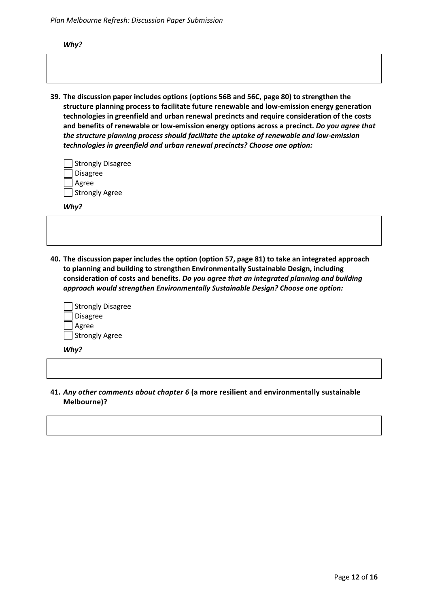*Plan Melbourne Refresh: Discussion Paper Submission*

*Why?*

**39. The discussion paper includes options (options 56B and 56C, page 80) to strengthen the structure planning process to facilitate future renewable and low-emission energy generation technologies in greenfield and urban renewal precincts and require consideration of the costs and benefits of renewable or low-emission energy options across a precinct.** *Do you agree that the structure planning process should facilitate the uptake of renewable and low-emission technologies in greenfield and urban renewal precincts? Choose one option:*

| Strongly Disagree |
|-------------------|
| Disagree          |
| Agree             |
| Strongly Agree    |

*Why?*

**40. The discussion paper includes the option (option 57, page 81) to take an integrated approach to planning and building to strengthen Environmentally Sustainable Design, including consideration of costs and benefits.** *Do you agree that an integrated planning and building approach would strengthen Environmentally Sustainable Design? Choose one option:*

| Strongly Disagree |
|-------------------|
| Disagree          |
| Agree             |
| Strongly Agree    |

*Why?*

**41.** *Any other comments about chapter 6* **(a more resilient and environmentally sustainable Melbourne)?**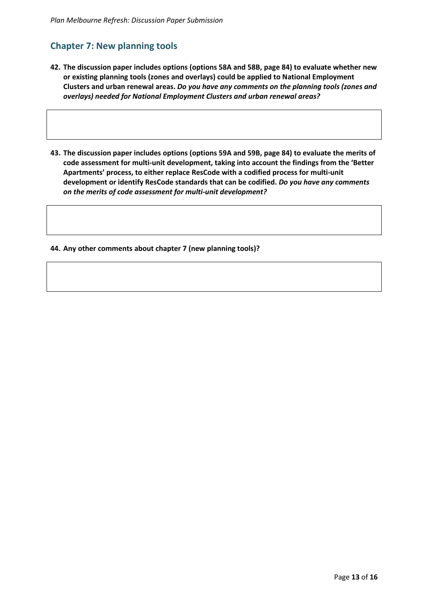# **Chapter 7: New planning tools**

- **42. The discussion paper includes options (options 58A and 58B, page 84) to evaluate whether new or existing planning tools (zones and overlays) could be applied to National Employment Clusters and urban renewal areas.** *Do you have any comments on the planning tools (zones and overlays) needed for National Employment Clusters and urban renewal areas?*
- **43. The discussion paper includes options (options 59A and 59B, page 84) to evaluate the merits of code assessment for multi-unit development, taking into account the findings from the 'Better Apartments' process, to either replace ResCode with a codified process for multi-unit development or identify ResCode standards that can be codified.** *Do you have any comments on the merits of code assessment for multi-unit development?*

**44. Any other comments about chapter 7 (new planning tools)?**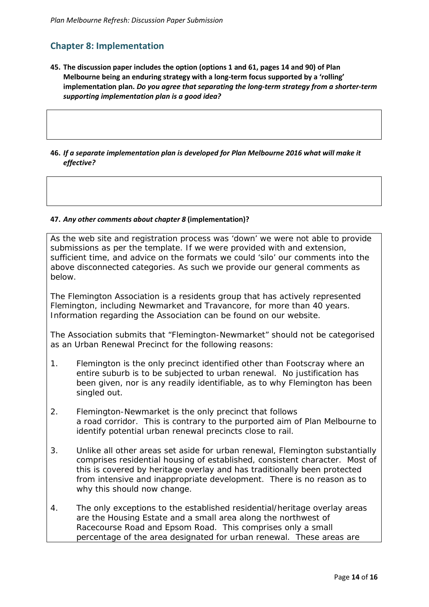# **Chapter 8: Implementation**

**45. The discussion paper includes the option (options 1 and 61, pages 14 and 90) of Plan Melbourne being an enduring strategy with a long-term focus supported by a 'rolling' implementation plan.** *Do you agree that separating the long-term strategy from a shorter-term supporting implementation plan is a good idea?*

## **46.** *If a separate implementation plan is developed for Plan Melbourne 2016 what will make it effective?*

## **47.** *Any other comments about chapter 8* **(implementation)?**

As the web site and registration process was 'down' we were not able to provide submissions as per the template. If we were provided with and extension, sufficient time, and advice on the formats we could 'silo' our comments into the above disconnected categories. As such we provide our general comments as below.

The Flemington Association is a residents group that has actively represented Flemington, including Newmarket and Travancore, for more than 40 years. Information regarding the Association can be found on our website.

The Association submits that "Flemington-Newmarket" should not be categorised as an Urban Renewal Precinct for the following reasons:

- 1. Flemington is the only precinct identified other than Footscray where an entire suburb is to be subjected to urban renewal. No justification has been given, nor is any readily identifiable, as to why Flemington has been singled out.
- 2. Flemington-Newmarket is the only precinct that follows a road corridor. This is contrary to the purported aim of Plan Melbourne to identify potential urban renewal precincts close to rail.
- 3. Unlike all other areas set aside for urban renewal, Flemington substantially comprises residential housing of established, consistent character. Most of this is covered by heritage overlay and has traditionally been protected from intensive and inappropriate development. There is no reason as to why this should now change.
- 4. The only exceptions to the established residential/heritage overlay areas are the Housing Estate and a small area along the northwest of Racecourse Road and Epsom Road. This comprises only a small percentage of the area designated for urban renewal. These areas are